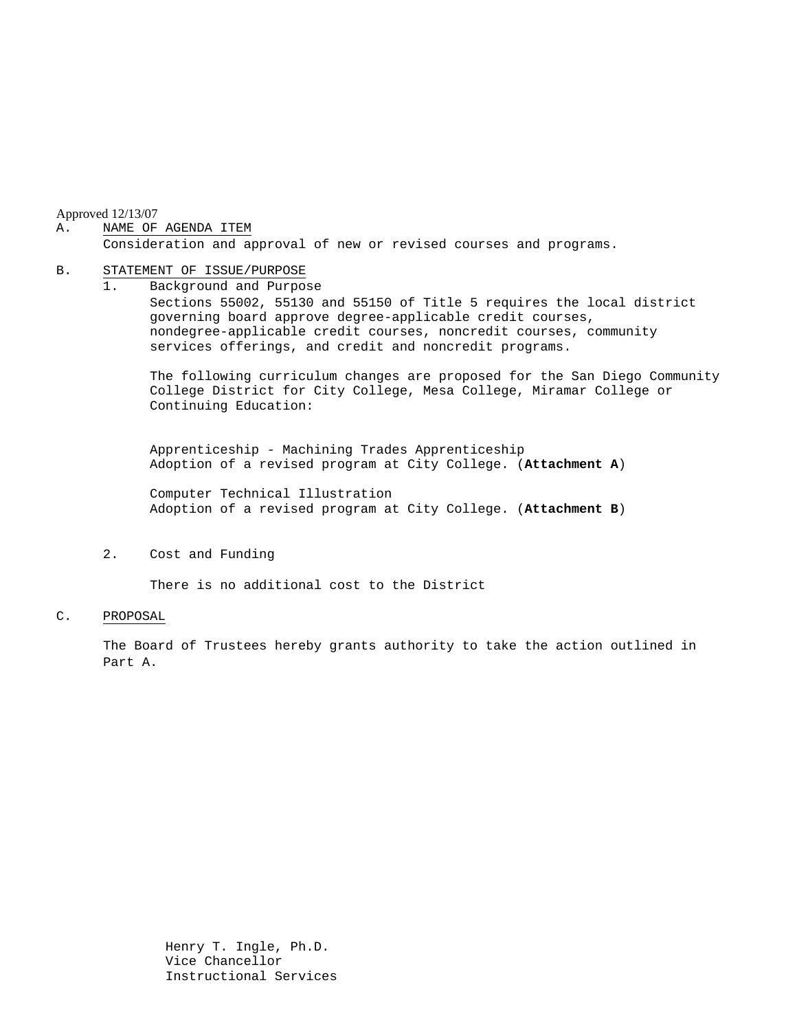Approved 12/13/07

#### A. NAME OF AGENDA ITEM

Consideration and approval of new or revised courses and programs.

#### B. STATEMENT OF ISSUE/PURPOSE

1. Background and Purpose Sections 55002, 55130 and 55150 of Title 5 requires the local district governing board approve degree-applicable credit courses, nondegree-applicable credit courses, noncredit courses, community services offerings, and credit and noncredit programs.

The following curriculum changes are proposed for the San Diego Community College District for City College, Mesa College, Miramar College or Continuing Education:

 Apprenticeship - Machining Trades Apprenticeship Adoption of a revised program at City College. (**Attachment A**)

Computer Technical Illustration Adoption of a revised program at City College. (**Attachment B**)

2. Cost and Funding

There is no additional cost to the District

#### C. PROPOSAL

The Board of Trustees hereby grants authority to take the action outlined in Part A.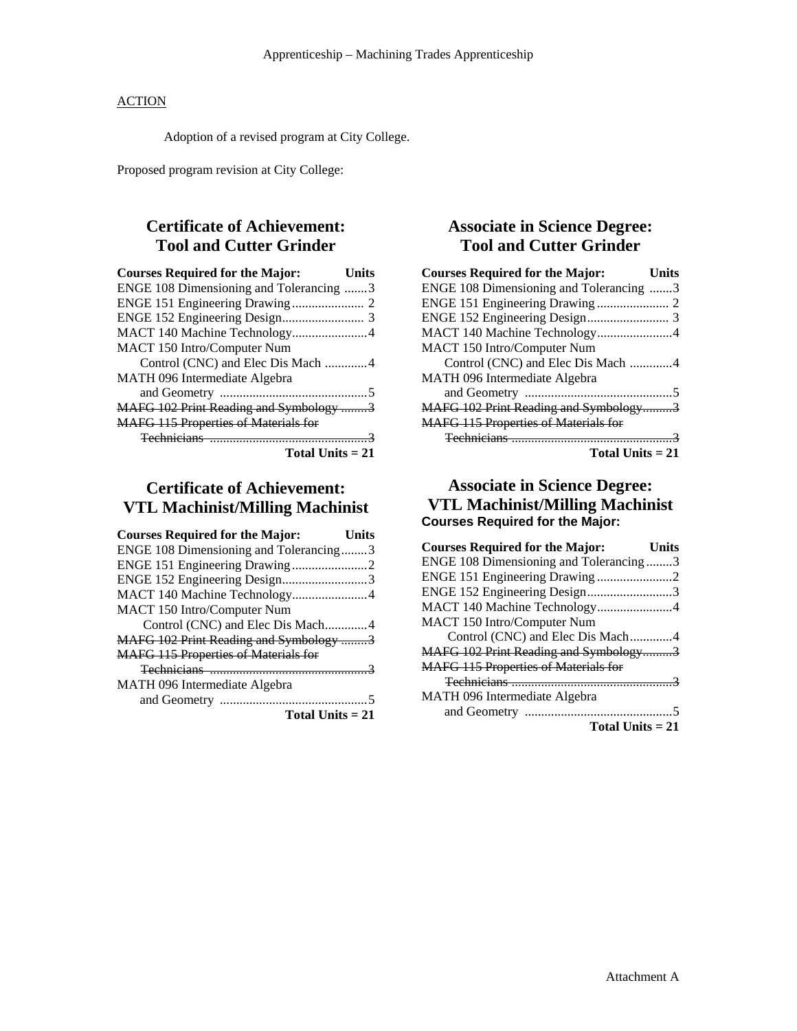### **ACTION**

Adoption of a revised program at City College.

Proposed program revision at City College:

# **Certificate of Achievement: Tool and Cutter Grinder**

| <b>Courses Required for the Major:</b>      | Units |
|---------------------------------------------|-------|
| ENGE 108 Dimensioning and Tolerancing 3     |       |
|                                             |       |
|                                             |       |
| MACT 140 Machine Technology4                |       |
| MACT 150 Intro/Computer Num                 |       |
| Control (CNC) and Elec Dis Mach 4           |       |
| MATH 096 Intermediate Algebra               |       |
|                                             |       |
| MAFG 102 Print Reading and Symbology 3      |       |
| <b>MAFG 115 Properties of Materials for</b> |       |
|                                             |       |
| Total Units $= 21$                          |       |

## **Certificate of Achievement: VTL Machinist/Milling Machinist**

| <b>Courses Required for the Major:</b>      | Units |
|---------------------------------------------|-------|
| ENGE 108 Dimensioning and Tolerancing3      |       |
|                                             |       |
| ENGE 152 Engineering Design3                |       |
| MACT 140 Machine Technology4                |       |
| MACT 150 Intro/Computer Num                 |       |
| Control (CNC) and Elec Dis Mach4            |       |
| MAFG 102 Print Reading and Symbology 3      |       |
| <b>MAFG 115 Properties of Materials for</b> |       |
|                                             |       |
| MATH 096 Intermediate Algebra               |       |
|                                             |       |
| Total Units $= 21$                          |       |

## **Associate in Science Degree: Tool and Cutter Grinder**

| <b>Courses Required for the Major:</b><br>Units |  |
|-------------------------------------------------|--|
| ENGE 108 Dimensioning and Tolerancing 3         |  |
|                                                 |  |
|                                                 |  |
| MACT 140 Machine Technology4                    |  |
| MACT 150 Intro/Computer Num                     |  |
| Control (CNC) and Elec Dis Mach 4               |  |
| MATH 096 Intermediate Algebra                   |  |
|                                                 |  |
| MAFG 102 Print Reading and Symbology3           |  |
| <b>MAFG 115 Properties of Materials for</b>     |  |
|                                                 |  |
| Total Units $= 21$                              |  |

### **Associate in Science Degree: VTL Machinist/Milling Machinist Courses Required for the Major:**

| <b>Courses Required for the Major:</b>      | Units |
|---------------------------------------------|-------|
| ENGE 108 Dimensioning and Tolerancing3      |       |
| ENGE 151 Engineering Drawing 2              |       |
| ENGE 152 Engineering Design3                |       |
| MACT 140 Machine Technology4                |       |
| MACT 150 Intro/Computer Num                 |       |
| Control (CNC) and Elec Dis Mach4            |       |
| MAFG 102 Print Reading and Symbology3       |       |
| <b>MAFG 115 Properties of Materials for</b> |       |
|                                             |       |
| MATH 096 Intermediate Algebra               |       |
|                                             |       |
| Total Units $= 21$                          |       |